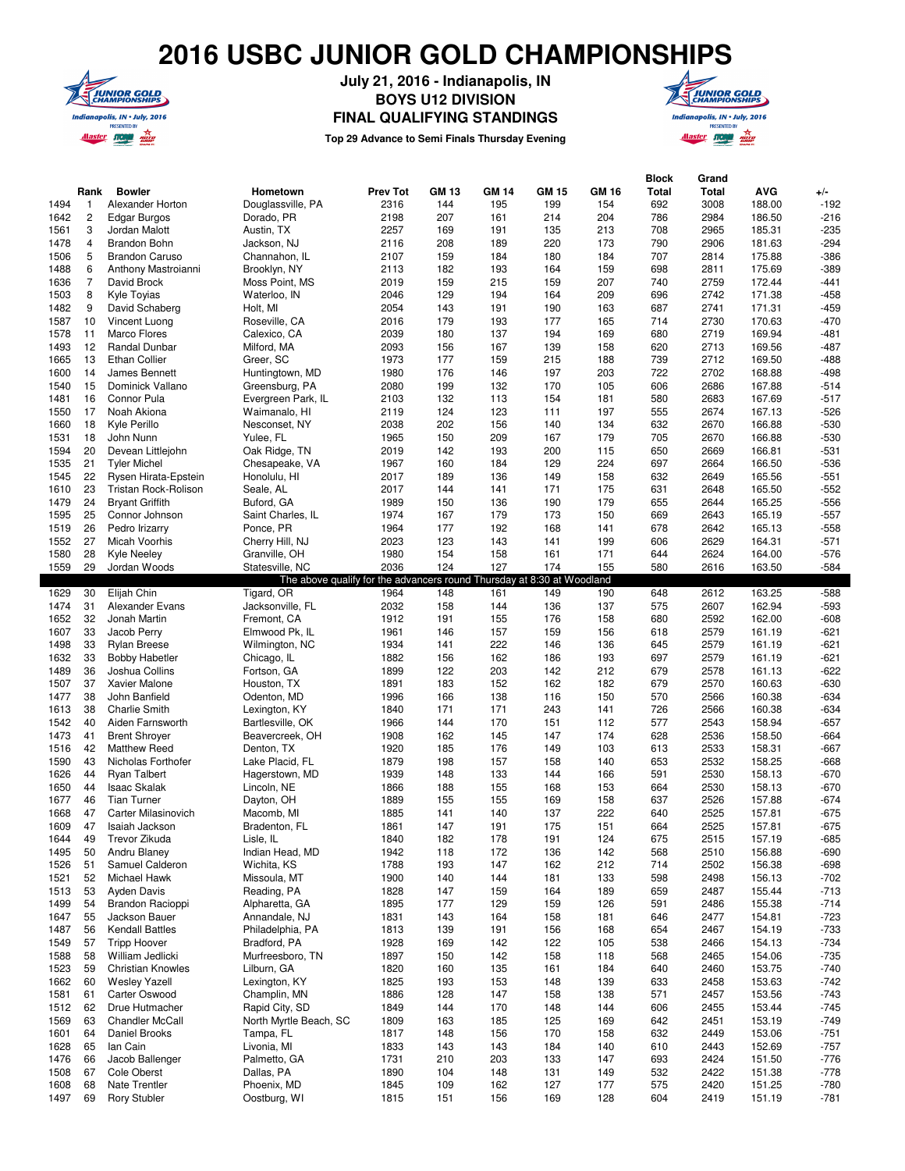## **2016 USBC JUNIOR GOLD CHAMPIONSHIPS**



**July 21, 2016 - Indianapolis, IN BOYS U12 DIVISION FINAL QUALIFYING STANDINGS**



**Top 29 Advance to Semi Finals Thursday Evening**

|              |                |                                      |                                                                        |                 |            |              |              |            | <b>Block</b> | Grand        |                  |              |
|--------------|----------------|--------------------------------------|------------------------------------------------------------------------|-----------------|------------|--------------|--------------|------------|--------------|--------------|------------------|--------------|
|              | Rank           | <b>Bowler</b>                        | Hometown                                                               | <b>Prev Tot</b> | GM 13      | <b>GM 14</b> | <b>GM 15</b> | GM 16      | Total        | Total        | AVG              | +/-          |
| 1494         | $\mathbf{1}$   | Alexander Horton                     | Douglassville, PA                                                      | 2316            | 144        | 195          | 199          | 154        | 692          | 3008         | 188.00           | $-192$       |
|              |                |                                      |                                                                        |                 |            |              |              |            |              |              |                  |              |
| 1642         | $\overline{c}$ | Edgar Burgos                         | Dorado, PR                                                             | 2198            | 207        | 161          | 214          | 204        | 786          | 2984         | 186.50           | $-216$       |
| 1561         | 3              | Jordan Malott                        | Austin, TX                                                             | 2257            | 169        | 191          | 135          | 213        | 708          | 2965         | 185.31           | $-235$       |
| 1478         | 4              | <b>Brandon Bohn</b>                  | Jackson, NJ                                                            | 2116            | 208        | 189          | 220          | 173        | 790          | 2906         | 181.63           | $-294$       |
| 1506         | 5              | <b>Brandon Caruso</b>                | Channahon, IL                                                          | 2107            | 159        | 184          | 180          | 184        | 707          | 2814         | 175.88           | -386         |
| 1488         | 6              | Anthony Mastroianni                  | Brooklyn, NY                                                           | 2113            | 182        | 193          | 164          | 159        | 698          | 2811         | 175.69           | -389         |
| 1636         | $\overline{7}$ | David Brock                          | Moss Point, MS                                                         | 2019            | 159        | 215          | 159          | 207        | 740          | 2759         | 172.44           | $-441$       |
|              |                |                                      |                                                                        |                 |            |              |              |            |              |              |                  |              |
| 1503         | 8              | Kyle Toyias                          | Waterloo, IN                                                           | 2046            | 129        | 194          | 164          | 209        | 696          | 2742         | 171.38           | $-458$       |
| 1482         | 9              | David Schaberg                       | Holt, MI                                                               | 2054            | 143        | 191          | 190          | 163        | 687          | 2741         | 171.31           | -459         |
| 1587         | 10             | Vincent Luong                        | Roseville, CA                                                          | 2016            | 179        | 193          | 177          | 165        | 714          | 2730         | 170.63           | $-470$       |
| 1578         | 11             | Marco Flores                         | Calexico, CA                                                           | 2039            | 180        | 137          | 194          | 169        | 680          | 2719         | 169.94           | -481         |
| 1493         | 12             | Randal Dunbar                        | Milford, MA                                                            | 2093            | 156        | 167          | 139          | 158        | 620          | 2713         | 169.56           | $-487$       |
|              |                |                                      |                                                                        |                 |            |              |              |            |              |              |                  |              |
| 1665         | 13             | <b>Ethan Collier</b>                 | Greer, SC                                                              | 1973            | 177        | 159          | 215          | 188        | 739          | 2712         | 169.50           | $-488$       |
| 1600         | 14             | James Bennett                        | Huntingtown, MD                                                        | 1980            | 176        | 146          | 197          | 203        | 722          | 2702         | 168.88           | $-498$       |
| 1540         | 15             | Dominick Vallano                     | Greensburg, PA                                                         | 2080            | 199        | 132          | 170          | 105        | 606          | 2686         | 167.88           | $-514$       |
| 1481         | 16             | Connor Pula                          | Evergreen Park, IL                                                     | 2103            | 132        | 113          | 154          | 181        | 580          | 2683         | 167.69           | $-517$       |
| 1550         | 17             | Noah Akiona                          | Waimanalo, HI                                                          | 2119            | 124        | 123          | 111          | 197        | 555          | 2674         | 167.13           | $-526$       |
| 1660         | 18             | Kyle Perillo                         | Nesconset, NY                                                          | 2038            | 202        | 156          | 140          | 134        | 632          | 2670         | 166.88           | $-530$       |
|              |                |                                      |                                                                        |                 |            |              |              |            |              |              |                  |              |
| 1531         | 18             | John Nunn                            | Yulee, FL                                                              | 1965            | 150        | 209          | 167          | 179        | 705          | 2670         | 166.88           | -530         |
| 1594         | 20             | Devean Littlejohn                    | Oak Ridge, TN                                                          | 2019            | 142        | 193          | 200          | 115        | 650          | 2669         | 166.81           | $-531$       |
| 1535         | 21             | <b>Tyler Michel</b>                  | Chesapeake, VA                                                         | 1967            | 160        | 184          | 129          | 224        | 697          | 2664         | 166.50           | $-536$       |
| 1545         | 22             | Rysen Hirata-Epstein                 | Honolulu, HI                                                           | 2017            | 189        | 136          | 149          | 158        | 632          | 2649         | 165.56           | $-551$       |
| 1610         | 23             | Tristan Rock-Rolison                 | Seale, AL                                                              | 2017            | 144        | 141          | 171          | 175        | 631          | 2648         | 165.50           | $-552$       |
|              |                |                                      |                                                                        |                 |            |              |              |            |              |              |                  |              |
| 1479         | 24             | <b>Bryant Griffith</b>               | Buford, GA                                                             | 1989            | 150        | 136          | 190          | 179        | 655          | 2644         | 165.25           | -556         |
| 1595         | 25             | Connor Johnson                       | Saint Charles, IL                                                      | 1974            | 167        | 179          | 173          | 150        | 669          | 2643         | 165.19           | $-557$       |
| 1519         | 26             | Pedro Irizarry                       | Ponce, PR                                                              | 1964            | 177        | 192          | 168          | 141        | 678          | 2642         | 165.13           | $-558$       |
| 1552         | 27             | Micah Voorhis                        | Cherry Hill, NJ                                                        | 2023            | 123        | 143          | 141          | 199        | 606          | 2629         | 164.31           | $-571$       |
| 1580         | 28             | <b>Kyle Neeley</b>                   | Granville, OH                                                          | 1980            | 154        | 158          | 161          | 171        | 644          | 2624         | 164.00           | $-576$       |
| 1559         | 29             | Jordan Woods                         | Statesville, NC                                                        | 2036            | 124        | 127          | 174          | 155        | 580          | 2616         | 163.50           | $-584$       |
|              |                |                                      |                                                                        |                 |            |              |              |            |              |              |                  |              |
|              |                |                                      | The above qualify for the advancers round Thursday at 8:30 at Woodland |                 |            |              |              |            |              |              |                  |              |
| 1629         | 30             | Elijah Chin                          | Tigard, OR                                                             | 1964            | 148        | 161          | 149          | 190        | 648          | 2612         | 163.25           | $-588$       |
| 1474         | 31             | Alexander Evans                      | Jacksonville, FL                                                       | 2032            | 158        | 144          | 136          | 137        | 575          | 2607         | 162.94           | $-593$       |
| 1652         | 32             | Jonah Martin                         | Fremont, CA                                                            | 1912            | 191        | 155          | 176          | 158        | 680          | 2592         | 162.00           | -608         |
| 1607         | 33             | Jacob Perry                          | Elmwood Pk, IL                                                         | 1961            | 146        | 157          | 159          | 156        | 618          | 2579         | 161.19           | -621         |
| 1498         | 33             | <b>Rylan Breese</b>                  | Wilmington, NC                                                         | 1934            | 141        | 222          | 146          | 136        | 645          | 2579         | 161.19           | $-621$       |
| 1632         | 33             |                                      |                                                                        |                 |            |              |              |            | 697          |              |                  |              |
|              |                | <b>Bobby Habetler</b>                | Chicago, IL                                                            | 1882            | 156        | 162          | 186          | 193        |              | 2579         | 161.19           | -621         |
|              |                |                                      |                                                                        |                 |            |              |              |            |              |              |                  |              |
| 1489         | 36             | Joshua Collins                       | Fortson, GA                                                            | 1899            | 122        | 203          | 142          | 212        | 679          | 2578         | 161.13           | $-622$       |
| 1507         | 37             | Xavier Malone                        | Houston, TX                                                            | 1891            | 183        | 152          | 162          | 182        | 679          | 2570         | 160.63           | $-630$       |
|              | 38             |                                      |                                                                        |                 | 166        |              |              |            |              |              |                  |              |
| 1477         |                | John Banfield                        | Odenton, MD                                                            | 1996            |            | 138          | 116          | 150        | 570          | 2566         | 160.38           | $-634$       |
| 1613         | 38             | <b>Charlie Smith</b>                 | Lexington, KY                                                          | 1840            | 171        | 171          | 243          | 141        | 726          | 2566         | 160.38           | $-634$       |
| 1542         | 40             | Aiden Farnsworth                     | Bartlesville, OK                                                       | 1966            | 144        | 170          | 151          | 112        | 577          | 2543         | 158.94           | -657         |
| 1473         | 41             | <b>Brent Shroyer</b>                 | Beavercreek, OH                                                        | 1908            | 162        | 145          | 147          | 174        | 628          | 2536         | 158.50           | -664         |
| 1516         | 42             | <b>Matthew Reed</b>                  | Denton, TX                                                             | 1920            | 185        | 176          | 149          | 103        | 613          | 2533         | 158.31           | -667         |
| 1590         | 43             | Nicholas Forthofer                   | Lake Placid, FL                                                        | 1879            | 198        | 157          | 158          | 140        | 653          | 2532         | 158.25           | -668         |
|              |                |                                      |                                                                        |                 |            |              |              |            |              |              |                  |              |
| 1626         | 44             | <b>Ryan Talbert</b>                  | Hagerstown, MD                                                         | 1939            | 148        | 133          | 144          | 166        | 591          | 2530         | 158.13           | -670         |
| 1650         | 44             | <b>Isaac Skalak</b>                  | Lincoln, NE                                                            | 1866            | 188        | 155          | 168          | 153        | 664          | 2530         | 158.13           | -670         |
| 1677         | 46             | <b>Tian Turner</b>                   | Dayton, OH                                                             | 1889            | 155        | 155          | 169          | 158        | 637          | 2526         | 157.88           | -674         |
| 1668         | 47             | Carter Milasinovich                  | Macomb, MI                                                             | 1885            | 141        | 140          | 137          | 222        | 640          | 2525         | 157.81           | $-675$       |
| 1609         | 47             | Isaiah Jackson                       | Bradenton, FL                                                          | 1861            | 147        | 191          | 175          | 151        | 664          | 2525         | 157.81           | $-675$       |
| 1644         | 49             | Trevor Zikuda                        | Lisle, IL                                                              | 1840            | 182        | 178          | 191          | 124        | 675          | 2515         | 157.19           | -685         |
|              |                |                                      |                                                                        |                 |            |              |              |            |              |              |                  |              |
| 1495         | 50             | Andru Blaney                         | Indian Head, MD                                                        | 1942            | 118        | 172          | 136          | 142        | 568          | 2510         | 156.88           | $-690$       |
| 1526         | 51             | Samuel Calderon                      | Wichita, KS                                                            | 1788            | 193        | 147          | 162          | 212        | 714          | 2502         | 156.38           | -698         |
| 1521         | 52             | Michael Hawk                         | Missoula, MT                                                           | 1900            | 140        | 144          | 181          | 133        | 598          | 2498         | 156.13           | $-702$       |
| 1513         | 53             | Ayden Davis                          | Reading, PA                                                            | 1828            | 147        | 159          | 164          | 189        | 659          | 2487         | 155.44           | $-713$       |
| 1499         | 54             | Brandon Racioppi                     | Alpharetta, GA                                                         | 1895            | 177        | 129          | 159          | 126        | 591          | 2486         | 155.38           | $-714$       |
|              |                |                                      |                                                                        |                 |            |              |              |            |              |              |                  |              |
| 1647         | 55             | Jackson Bauer                        | Annandale, NJ                                                          | 1831            | 143        | 164          | 158          | 181        | 646          | 2477         | 154.81           | $-723$       |
| 1487         | 56             | <b>Kendall Battles</b>               | Philadelphia, PA                                                       | 1813            | 139        | 191          | 156          | 168        | 654          | 2467         | 154.19           | $-733$       |
| 1549         | 57             | <b>Tripp Hoover</b>                  | Bradford, PA                                                           | 1928            | 169        | 142          | 122          | 105        | 538          | 2466         | 154.13           | -734         |
| 1588         | 58             | William Jedlicki                     | Murfreesboro, TN                                                       | 1897            | 150        | 142          | 158          | 118        | 568          | 2465         | 154.06           | $-735$       |
| 1523         | 59             | <b>Christian Knowles</b>             | Lilburn, GA                                                            | 1820            | 160        | 135          | 161          | 184        | 640          | 2460         | 153.75           | $-740$       |
|              |                |                                      |                                                                        |                 |            |              |              |            |              |              |                  |              |
| 1662         | 60             | <b>Wesley Yazell</b>                 | Lexington, KY                                                          | 1825            | 193        | 153          | 148          | 139        | 633          | 2458         | 153.63           | $-742$       |
| 1581         | 61             | Carter Oswood                        | Champlin, MN                                                           | 1886            | 128        | 147          | 158          | 138        | 571          | 2457         | 153.56           | $-743$       |
| 1512         | 62             | Drue Hutmacher                       | Rapid City, SD                                                         | 1849            | 144        | 170          | 148          | 144        | 606          | 2455         | 153.44           | $-745$       |
| 1569         | 63             | <b>Chandler McCall</b>               | North Myrtle Beach, SC                                                 | 1809            | 163        | 185          | 125          | 169        | 642          | 2451         | 153.19           | $-749$       |
| 1601         | 64             | Daniel Brooks                        | Tampa, FL                                                              | 1817            | 148        | 156          | 170          | 158        | 632          | 2449         | 153.06           | $-751$       |
| 1628         | 65             | lan Cain                             | Livonia, MI                                                            | 1833            | 143        | 143          | 184          | 140        | 610          | 2443         | 152.69           | $-757$       |
| 1476         | 66             | Jacob Ballenger                      | Palmetto, GA                                                           | 1731            | 210        | 203          | 133          | 147        | 693          | 2424         | 151.50           | $-776$       |
|              |                |                                      |                                                                        |                 |            |              |              |            |              |              |                  |              |
| 1508         | 67             | Cole Oberst                          | Dallas, PA                                                             | 1890            | 104        | 148          | 131          | 149        | 532          | 2422         | 151.38           | $-778$       |
| 1608<br>1497 | 68<br>69       | Nate Trentler<br><b>Rory Stubler</b> | Phoenix, MD<br>Oostburg, WI                                            | 1845<br>1815    | 109<br>151 | 162<br>156   | 127<br>169   | 177<br>128 | 575<br>604   | 2420<br>2419 | 151.25<br>151.19 | -780<br>-781 |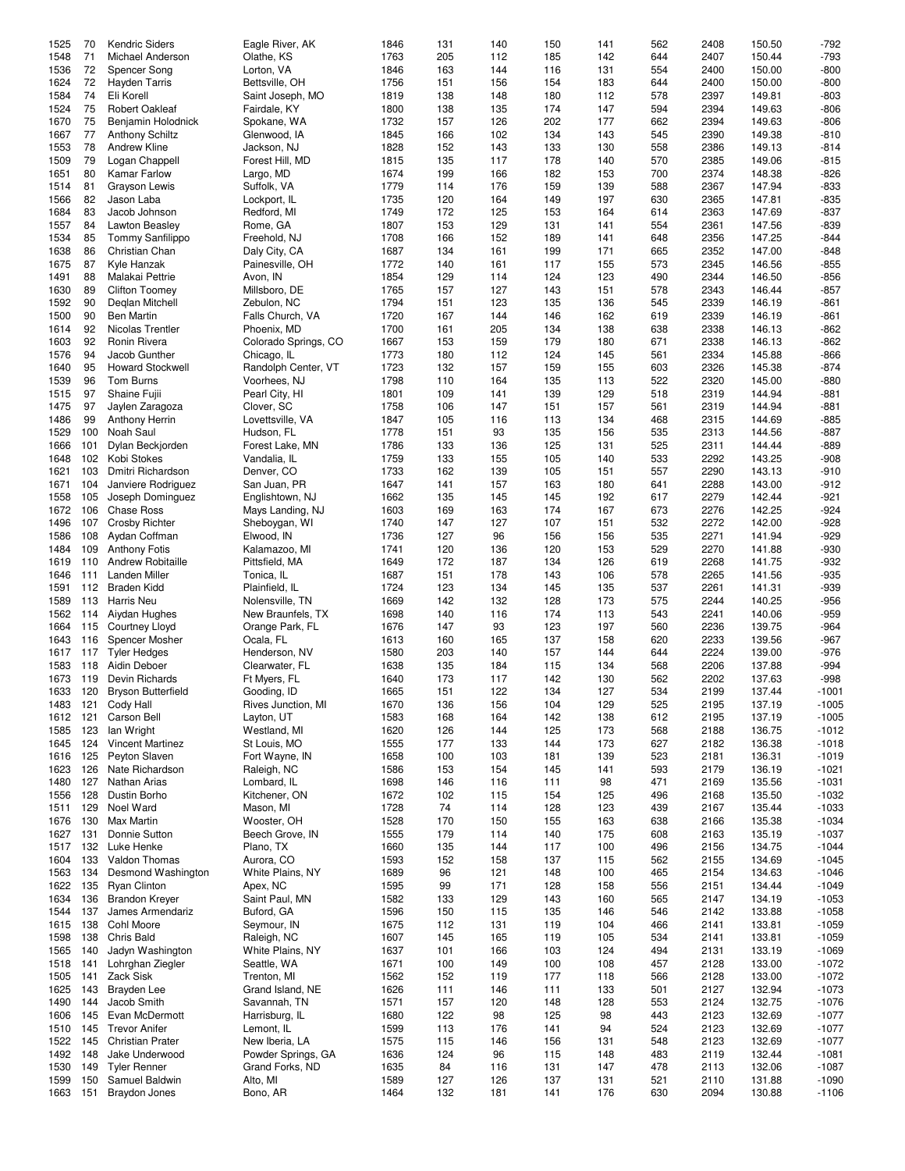| 1525     | 70  | <b>Kendric Siders</b>     | Eagle River, AK      | 1846 | 131 | 140 | 150 | 141 | 562 | 2408 | 150.50 | $-792$  |
|----------|-----|---------------------------|----------------------|------|-----|-----|-----|-----|-----|------|--------|---------|
| 1548     | 71  | Michael Anderson          | Olathe, KS           | 1763 | 205 | 112 | 185 | 142 | 644 | 2407 | 150.44 | $-793$  |
| 1536     | 72  | Spencer Song              | Lorton, VA           | 1846 | 163 | 144 | 116 | 131 | 554 | 2400 | 150.00 | $-800$  |
| 1624     | 72  | <b>Hayden Tarris</b>      | Bettsville, OH       | 1756 | 151 | 156 | 154 | 183 | 644 |      | 150.00 | $-800$  |
|          |     |                           |                      |      |     |     |     |     |     | 2400 |        |         |
| 1584     | 74  | Eli Korell                | Saint Joseph, MO     | 1819 | 138 | 148 | 180 | 112 | 578 | 2397 | 149.81 | $-803$  |
| 1524     | 75  | Robert Oakleaf            | Fairdale, KY         | 1800 | 138 | 135 | 174 | 147 | 594 | 2394 | 149.63 | $-806$  |
| 1670     | 75  | Benjamin Holodnick        | Spokane, WA          | 1732 | 157 | 126 | 202 | 177 | 662 | 2394 | 149.63 | $-806$  |
| 1667     | 77  | <b>Anthony Schiltz</b>    | Glenwood, IA         | 1845 | 166 | 102 | 134 | 143 | 545 | 2390 | 149.38 | $-810$  |
| 1553     | 78  | Andrew Kline              | Jackson, NJ          | 1828 | 152 | 143 | 133 | 130 | 558 | 2386 | 149.13 | $-814$  |
| 1509     | 79  | Logan Chappell            | Forest Hill, MD      | 1815 | 135 | 117 | 178 | 140 | 570 | 2385 | 149.06 | $-815$  |
| 1651     | 80  |                           |                      | 1674 | 199 |     | 182 |     | 700 | 2374 | 148.38 | $-826$  |
|          |     | Kamar Farlow              | Largo, MD            |      |     | 166 |     | 153 |     |      |        |         |
| 1514     | 81  | Grayson Lewis             | Suffolk, VA          | 1779 | 114 | 176 | 159 | 139 | 588 | 2367 | 147.94 | $-833$  |
| 1566     | 82  | Jason Laba                | Lockport, IL         | 1735 | 120 | 164 | 149 | 197 | 630 | 2365 | 147.81 | $-835$  |
| 1684     | 83  | Jacob Johnson             | Redford, MI          | 1749 | 172 | 125 | 153 | 164 | 614 | 2363 | 147.69 | $-837$  |
| 1557     | 84  | Lawton Beasley            | Rome, GA             | 1807 | 153 | 129 | 131 | 141 | 554 | 2361 | 147.56 | $-839$  |
| 1534     | 85  | Tommy Sanfilippo          | Freehold, NJ         | 1708 | 166 | 152 | 189 | 141 | 648 | 2356 | 147.25 | $-844$  |
| 1638     | 86  | Christian Chan            | Daly City, CA        | 1687 | 134 | 161 | 199 | 171 | 665 | 2352 | 147.00 | $-848$  |
| 1675     | 87  | Kyle Hanzak               | Painesville, OH      | 1772 | 140 | 161 | 117 | 155 | 573 | 2345 | 146.56 | $-855$  |
| 1491     | 88  |                           |                      | 1854 | 129 |     | 124 |     | 490 | 2344 | 146.50 |         |
|          |     | Malakai Pettrie           | Avon, IN             |      |     | 114 |     | 123 |     |      |        | $-856$  |
| 1630     | 89  | Clifton Toomey            | Millsboro, DE        | 1765 | 157 | 127 | 143 | 151 | 578 | 2343 | 146.44 | $-857$  |
| 1592     | 90  | Deglan Mitchell           | Zebulon, NC          | 1794 | 151 | 123 | 135 | 136 | 545 | 2339 | 146.19 | $-861$  |
| 1500     | 90  | <b>Ben Martin</b>         | Falls Church, VA     | 1720 | 167 | 144 | 146 | 162 | 619 | 2339 | 146.19 | $-861$  |
| 1614     | 92  | Nicolas Trentler          | Phoenix, MD          | 1700 | 161 | 205 | 134 | 138 | 638 | 2338 | 146.13 | $-862$  |
| 1603     | 92  | Ronin Rivera              | Colorado Springs, CO | 1667 | 153 | 159 | 179 | 180 | 671 | 2338 | 146.13 | $-862$  |
| 1576     | 94  | Jacob Gunther             | Chicago, IL          | 1773 | 180 | 112 | 124 | 145 | 561 | 2334 | 145.88 | $-866$  |
| 1640     | 95  | <b>Howard Stockwell</b>   | Randolph Center, VT  | 1723 | 132 | 157 | 159 | 155 | 603 | 2326 | 145.38 | $-874$  |
|          |     |                           |                      |      |     |     |     |     |     |      |        |         |
| 1539     | 96  | Tom Burns                 | Voorhees, NJ         | 1798 | 110 | 164 | 135 | 113 | 522 | 2320 | 145.00 | $-880$  |
| 1515     | 97  | Shaine Fujii              | Pearl City, HI       | 1801 | 109 | 141 | 139 | 129 | 518 | 2319 | 144.94 | $-881$  |
| 1475     | 97  | Jaylen Zaragoza           | Clover, SC           | 1758 | 106 | 147 | 151 | 157 | 561 | 2319 | 144.94 | $-881$  |
| 1486     | 99  | Anthony Herrin            | Lovettsville, VA     | 1847 | 105 | 116 | 113 | 134 | 468 | 2315 | 144.69 | $-885$  |
| 1529     | 100 | Noah Saul                 | Hudson, FL           | 1778 | 151 | 93  | 135 | 156 | 535 | 2313 | 144.56 | $-887$  |
| 1666     | 101 | Dylan Beckjorden          | Forest Lake, MN      | 1786 | 133 | 136 | 125 | 131 | 525 | 2311 | 144.44 | $-889$  |
| 1648     | 102 | Kobi Stokes               | Vandalia, IL         | 1759 | 133 | 155 | 105 | 140 | 533 | 2292 | 143.25 | $-908$  |
|          |     |                           |                      |      |     |     |     |     |     |      |        |         |
| 1621     | 103 | Dmitri Richardson         | Denver, CO           | 1733 | 162 | 139 | 105 | 151 | 557 | 2290 | 143.13 | $-910$  |
| 1671     | 104 | Janviere Rodriguez        | San Juan, PR         | 1647 | 141 | 157 | 163 | 180 | 641 | 2288 | 143.00 | $-912$  |
| 1558     | 105 | Joseph Dominguez          | Englishtown, NJ      | 1662 | 135 | 145 | 145 | 192 | 617 | 2279 | 142.44 | $-921$  |
| 1672 106 |     | <b>Chase Ross</b>         | Mays Landing, NJ     | 1603 | 169 | 163 | 174 | 167 | 673 | 2276 | 142.25 | $-924$  |
| 1496     | 107 | <b>Crosby Richter</b>     | Sheboygan, WI        | 1740 | 147 | 127 | 107 | 151 | 532 | 2272 | 142.00 | $-928$  |
| 1586     | 108 | Aydan Coffman             | Elwood, IN           | 1736 | 127 | 96  | 156 | 156 | 535 | 2271 | 141.94 | $-929$  |
| 1484     | 109 | <b>Anthony Fotis</b>      | Kalamazoo, MI        | 1741 | 120 | 136 | 120 | 153 | 529 | 2270 | 141.88 | $-930$  |
| 1619     | 110 | <b>Andrew Robitaille</b>  | Pittsfield, MA       | 1649 | 172 | 187 | 134 | 126 | 619 | 2268 | 141.75 | $-932$  |
|          |     |                           |                      |      |     |     |     |     |     |      |        |         |
| 1646     | 111 | Landen Miller             | Tonica, IL           | 1687 | 151 | 178 | 143 | 106 | 578 | 2265 | 141.56 | $-935$  |
| 1591     | 112 | <b>Braden Kidd</b>        | Plainfield, IL       | 1724 | 123 | 134 | 145 | 135 | 537 | 2261 | 141.31 | $-939$  |
| 1589     | 113 | Harris Neu                | Nolensville, TN      | 1669 | 142 | 132 | 128 | 173 | 575 | 2244 | 140.25 | $-956$  |
| 1562     | 114 | Aiydan Hughes             | New Braunfels, TX    | 1698 | 140 | 116 | 174 | 113 | 543 | 2241 | 140.06 | $-959$  |
| 1664     | 115 | <b>Courtney Lloyd</b>     | Orange Park, FL      | 1676 | 147 | 93  | 123 | 197 | 560 | 2236 | 139.75 | $-964$  |
| 1643     | 116 | Spencer Mosher            | Ocala, FL            | 1613 | 160 | 165 | 137 | 158 | 620 | 2233 | 139.56 | $-967$  |
| 1617     | 117 | <b>Tyler Hedges</b>       | Henderson, NV        | 1580 | 203 | 140 | 157 | 144 | 644 | 2224 | 139.00 | $-976$  |
| 1583     | 118 | Aidin Deboer              | Clearwater, FL       | 1638 | 135 | 184 | 115 | 134 | 568 | 2206 | 137.88 | $-994$  |
|          |     |                           |                      |      |     |     |     |     |     |      |        |         |
| 1673     | 119 | Devin Richards            | Ft Myers, FL         | 1640 | 173 | 117 | 142 | 130 | 562 | 2202 | 137.63 | $-998$  |
| 1633     | 120 | <b>Bryson Butterfield</b> | Gooding, ID          | 1665 | 151 | 122 | 134 | 127 | 534 | 2199 | 137.44 | $-1001$ |
| 1483     | 121 | Cody Hall                 | Rives Junction, MI   | 1670 | 136 | 156 | 104 | 129 | 525 | 2195 | 137.19 | $-1005$ |
| 1612     | 121 | Carson Bell               | Layton, UT           | 1583 | 168 | 164 | 142 | 138 | 612 | 2195 | 137.19 | $-1005$ |
| 1585     | 123 | lan Wright                | Westland, MI         | 1620 | 126 | 144 | 125 | 173 | 568 | 2188 | 136.75 | $-1012$ |
| 1645     | 124 | <b>Vincent Martinez</b>   | St Louis, MO         | 1555 | 177 | 133 | 144 | 173 | 627 | 2182 | 136.38 | $-1018$ |
| 1616     | 125 | Peyton Slaven             | Fort Wayne, IN       | 1658 | 100 | 103 | 181 | 139 | 523 | 2181 | 136.31 | $-1019$ |
|          | 126 |                           |                      |      | 153 | 154 | 145 |     | 593 |      | 136.19 | $-1021$ |
| 1623     |     | Nate Richardson           | Raleigh, NC          | 1586 |     |     |     | 141 |     | 2179 |        |         |
| 1480     | 127 | Nathan Arias              | Lombard, IL          | 1698 | 146 | 116 | 111 | 98  | 471 | 2169 | 135.56 | $-1031$ |
| 1556     | 128 | Dustin Borho              | Kitchener, ON        | 1672 | 102 | 115 | 154 | 125 | 496 | 2168 | 135.50 | $-1032$ |
| 1511     | 129 | Noel Ward                 | Mason, MI            | 1728 | 74  | 114 | 128 | 123 | 439 | 2167 | 135.44 | $-1033$ |
| 1676     | 130 | Max Martin                | Wooster, OH          | 1528 | 170 | 150 | 155 | 163 | 638 | 2166 | 135.38 | $-1034$ |
| 1627     | 131 | Donnie Sutton             | Beech Grove, IN      | 1555 | 179 | 114 | 140 | 175 | 608 | 2163 | 135.19 | $-1037$ |
| 1517     | 132 | Luke Henke                | Plano, TX            | 1660 | 135 | 144 | 117 | 100 | 496 | 2156 | 134.75 | $-1044$ |
| 1604     | 133 | Valdon Thomas             | Aurora, CO           | 1593 | 152 | 158 | 137 | 115 | 562 | 2155 | 134.69 | $-1045$ |
|          |     | Desmond Washington        |                      |      |     |     |     |     |     |      |        |         |
| 1563     | 134 |                           | White Plains, NY     | 1689 | 96  | 121 | 148 | 100 | 465 | 2154 | 134.63 | $-1046$ |
| 1622     | 135 | <b>Ryan Clinton</b>       | Apex, NC             | 1595 | 99  | 171 | 128 | 158 | 556 | 2151 | 134.44 | $-1049$ |
| 1634     | 136 | <b>Brandon Kreyer</b>     | Saint Paul, MN       | 1582 | 133 | 129 | 143 | 160 | 565 | 2147 | 134.19 | $-1053$ |
| 1544     | 137 | James Armendariz          | Buford, GA           | 1596 | 150 | 115 | 135 | 146 | 546 | 2142 | 133.88 | $-1058$ |
| 1615     | 138 | Cohl Moore                | Seymour, IN          | 1675 | 112 | 131 | 119 | 104 | 466 | 2141 | 133.81 | $-1059$ |
| 1598     | 138 | Chris Bald                | Raleigh, NC          | 1607 | 145 | 165 | 119 | 105 | 534 | 2141 | 133.81 | $-1059$ |
| 1565     | 140 | Jadyn Washington          | White Plains, NY     | 1637 | 101 | 166 | 103 | 124 | 494 | 2131 | 133.19 | $-1069$ |
| 1518     | 141 | Lohrghan Ziegler          | Seattle, WA          | 1671 | 100 | 149 | 100 | 108 | 457 | 2128 | 133.00 | $-1072$ |
|          |     |                           |                      |      |     |     |     |     |     |      |        |         |
| 1505     | 141 | Zack Sisk                 | Trenton, MI          | 1562 | 152 | 119 | 177 | 118 | 566 | 2128 | 133.00 | $-1072$ |
| 1625     | 143 | Brayden Lee               | Grand Island, NE     | 1626 | 111 | 146 | 111 | 133 | 501 | 2127 | 132.94 | $-1073$ |
| 1490     | 144 | Jacob Smith               | Savannah, TN         | 1571 | 157 | 120 | 148 | 128 | 553 | 2124 | 132.75 | $-1076$ |
| 1606     | 145 | Evan McDermott            | Harrisburg, IL       | 1680 | 122 | 98  | 125 | 98  | 443 | 2123 | 132.69 | $-1077$ |
| 1510     | 145 | <b>Trevor Anifer</b>      | Lemont, IL           | 1599 | 113 | 176 | 141 | 94  | 524 | 2123 | 132.69 | $-1077$ |
| 1522     | 145 | <b>Christian Prater</b>   | New Iberia, LA       | 1575 | 115 | 146 | 156 | 131 | 548 | 2123 | 132.69 | $-1077$ |
| 1492     | 148 | Jake Underwood            | Powder Springs, GA   | 1636 | 124 | 96  | 115 | 148 | 483 | 2119 | 132.44 | $-1081$ |
|          |     |                           |                      |      |     |     |     |     |     |      |        |         |
| 1530     | 149 | <b>Tyler Renner</b>       | Grand Forks, ND      | 1635 | 84  | 116 | 131 | 147 | 478 | 2113 | 132.06 | $-1087$ |
| 1599     | 150 | Samuel Baldwin            | Alto, MI             | 1589 | 127 | 126 | 137 | 131 | 521 | 2110 | 131.88 | $-1090$ |
| 1663 151 |     | <b>Braydon Jones</b>      | Bono, AR             | 1464 | 132 | 181 | 141 | 176 | 630 | 2094 | 130.88 | $-1106$ |